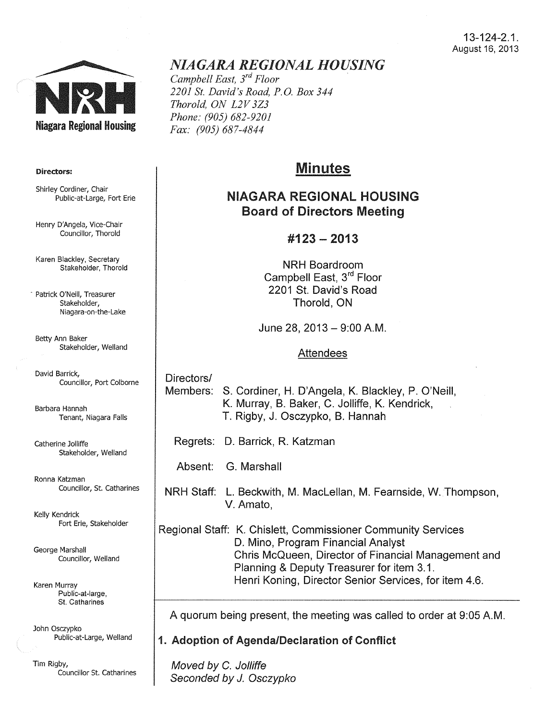

#### Directors:

Shirley Cordiner, Chair Public-at-Large, Fort Erie

Henry D'Angela, Vice-Chair Councillor, Thorold

Karen Blackley, Secretary Stakeholder, Thorold

• Patrick O'Neill, Treasurer Stakeholder, Niagara-on-the-Lake

Betty Ann Baker Stakeholder, Weiland

David Barrick, Councillor, Port Colborne

Barbara Hannah Tenant, Niagara Falls

Catherine Jolliffe Stakeholder, Weiland

Ronna Katzman Councillor, St. Catharines

Kelly Kendrick Fort Erie, Stakeholder

George Marshall Councillor, Weiland

Karen Murray Public-at-large, St. Catharines

John Osczypko Public-at-Large, Weiland

Tim Rigby, Councillor St. Catharines

## *NIAGARA REGIONAL HOUSING*

*Campbell East, 3rd Floor 2201 St. David's Road, P.O. Box 344 Thorold, ON L2V 3Z3 Phone: (905) 682-9201 Fax: (905) 687-4844* 

# Minutes

## NIAGARA REGIONAL HOUSING Board of Directors Meeting

## #123- 2013

NRH Boardroom Campbell East, 3rd Floor 2201 St. David's Road Thorold, ON

June 28, 2013- 9:00A.M.

#### Attendees

Directors/ Members: S. Cordiner, H. D'Angela, K. Blackley, P. O'Neill, K. Murray, B. Baker, C. Jolliffe, K. Kendrick, T. Rigby, J. Osczypko, B. Hannah

Regrets: D. Barrick, R. Katzman

Absent: G. Marshall

NRH Staff: L. Beckwith, M. MacLellan, M. Fearnside, W.Thompson, V. Amato,

Regional Staff: K. Chislett, Commissioner Community Services D. Mino, Program Financial Analyst Chris McQueen, Director of Financial Management and Planning & Deputy Treasurer for item 3.1. Henri Koning, Director Senior Services, for item 4.6.

A quorum being present, the meeting was called to order at 9:05A.M.

1. Adoption of Agenda/Declaration of Conflict

Moved by C. Jolliffe Seconded by J. Osczypko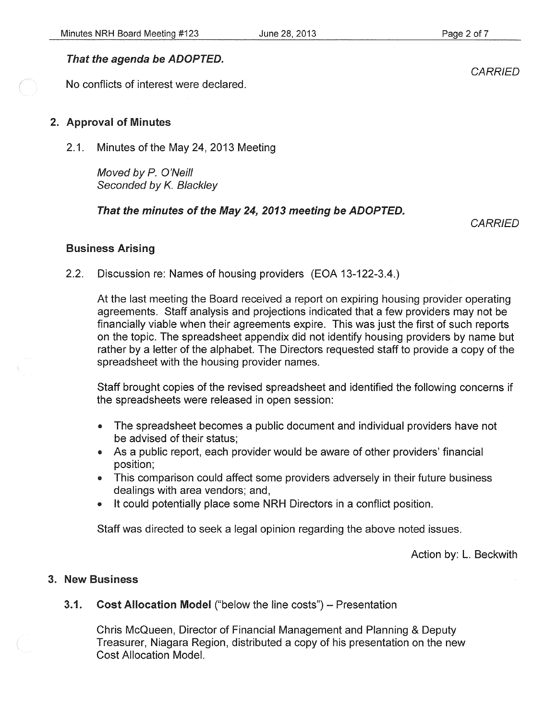## That the agenda be ADOPTED.

No conflicts of interest were declared.

### 2. Approval of Minutes

2.1. Minutes of the May 24, 2013 Meeting

Moved by P. O'Neill Seconded by K. Blackley

## That the minutes of the May 24, 2013 meeting be ADOPTED.

*CARRIED* 

#### Business Arising

2.2. Discussion re: Names of housing providers (EOA 13-122-3.4.)

At the last meeting the Board received a report on expiring housing provider operating agreements. Staff analysis and projections indicated that a few providers may not be financially viable when their agreements expire. This was just the first of such reports on the topic. The spreadsheet appendix did not identify housing providers by name but rather by a letter of the alphabet. The Directors requested staff to provide a copy of the spreadsheet with the housing provider names.

Staff brought copies of the revised spreadsheet and identified the following concerns if the spreadsheets were released in open session:

- The spreadsheet becomes a public document and individual providers have not be advised of their status;
- As a public report, each provider would be aware of other providers' financial position;
- This comparison could affect some providers adversely in their future business dealings with area vendors; and,
- It could potentially place some NRH Directors in a conflict position.

Staff was directed to seek a legal opinion regarding the above noted issues.

Action by: L. Beckwith

#### 3. New Business

#### 3.1. Cost Allocation Model ("below the line costs") – Presentation

Chris McQueen, Director of Financial Management and Planning & Deputy Treasurer, Niagara Region, distributed a copy of his presentation on the new Cost Allocation Model.

**CARRIED**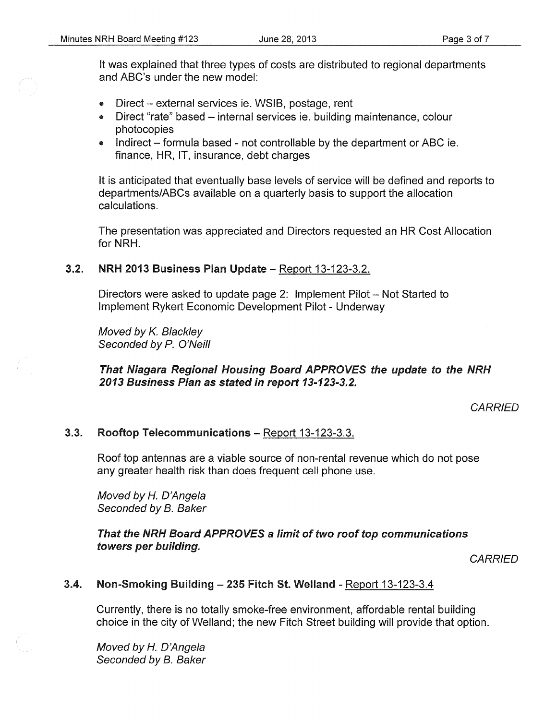- Direct external services ie. WSIB, postage, rent
- Direct "rate" based internal services ie. building maintenance, colour photocopies
- Indirect formula based not controllable by the department or ABC ie. finance, HR, IT, insurance, debt charges

It is anticipated that eventually base levels of service will be defined and reports to departments/ABCs available on a quarterly basis to support the allocation calculations.

The presentation was appreciated and Directors requested an HR Cost Allocation for NRH.

## 3.2. NRH 2013 Business Plan Update - Report 13-123-3.2.

Directors were asked to update page 2: Implement Pilot – Not Started to Implement Rykert Economic Development Pilot- Underway

Moved by K. Blackley Seconded by P. O'Neill

## That Niagara Regional Housing Board APPROVES the update to the NRH 2013 Business Plan as stated in report 13-123-3.2.

**CARRIED** 

## 3.3. Rooftop Telecommunications- Report 13-123-3.3.

Roof top antennas are a viable source of non-rental revenue which do not pose any greater health risk than does frequent cell phone use.

Moved by *H.* D'Angela Seconded by B. Baker

#### That the NRH Board APPROVES a limit of two roof top communications towers per building.

*CARRIED* 

## 3.4. Non-Smoking Building - 235 Fitch St. Welland - Report 13-123-3.4

Currently, there is no totally smoke-free environment, affordable rental building choice in the city of Weiland; the new Fitch Street building will provide that option.

Moved by *H.* D'Angefa Seconded by B. Baker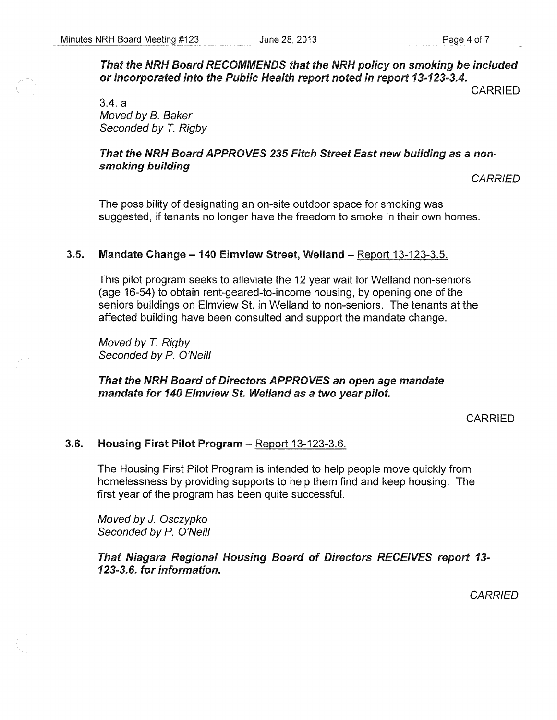That the NRH Board RECOMMENDS that the NRH policy on smoking be included or incorporated into the Public Health report noted in report 13-123-3.4.

CARRIED

3.4. a Moved by B. Baker Seconded by T. Rigby

## That the NRH Board APPROVES 235 Fitch Street East new building as a nonsmoking building

**CARRIED** 

The possibility of designating an on-site outdoor space for smoking was suggested, if tenants no longer have the freedom to smoke in their own homes.

## 3.5. Mandate Change - 140 Elmview Street, Welland - Report 13-123-3.5.

This pilot program seeks to alleviate the 12 year wait for Weiland non-seniors (age 16-54) to obtain rent-geared-to-income housing, by opening one of the seniors buildings on Elmview St. in Weiland to non-seniors. The tenants at the affected building have been consulted and support the mandate change.

Moved by T. Rigby Seconded by P. O'Neill

## That the NRH Board of Directors APPROVES an open age mandate mandate for 140 Elmview St. Weiland as a two year pilot.

CARRIED

#### 3.6. Housing First Pilot Program - Report 13-123-3.6.

The Housing First Pilot Program is intended to help people move quickly from homelessness by providing supports to help them find and keep housing. The first year of the program has been quite successful.

Moved by J. Osczypko Seconded by *P.* O'Neill

That Niagara Regional Housing Board of Directors RECEIVES report 13- 123-3.6. for information.

**CARRIED**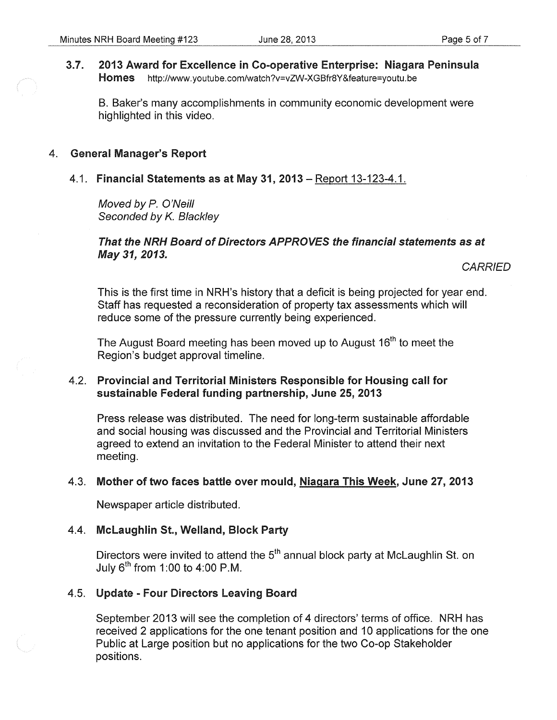#### 3.7. 2013 Award for Excellence in Co-operative Enterprise: Niagara Peninsula Homes http://www.youtube.com/watch?v=vZW-XGBfr8Y&feature=youtu.be

B. Baker's many accomplishments in community economic development were highlighted in this video.

#### 4. General Manager's Report

#### 4.1. Financial Statements as at May 31, 2013 -Report 13-123-4.1.

Moved by P. O'Neill Seconded by K. Blackley

### That the NRH Board of Directors APPROVES the financial statements as at May 31, 2013.

**CARRIED** 

This is the first time in NRH's history that a deficit is being projected for year end. Staff has requested a reconsideration of property tax assessments which will reduce some of the pressure currently being experienced.

The August Board meeting has been moved up to August 16<sup>th</sup> to meet the Region's budget approval timeline.

## 4.2. Provincial and Territorial Ministers Responsible for Housing call for sustainable Federal funding partnership, June 25, 2013

Press release was distributed. The need for long-term sustainable affordable and social housing was discussed and the Provincial and Territorial Ministers agreed to extend an invitation to the Federal Minister to attend their next meeting.

#### 4.3. Mother of two faces battle over mould, Niagara This Week, June 27,2013

Newspaper article distributed.

### 4.4. Mclaughlin St., Weiland, Block Party

Directors were invited to attend the  $5<sup>th</sup>$  annual block party at McLaughlin St. on July  $6^{th}$  from 1:00 to 4:00 P.M.

## 4.5. Update - Four Directors Leaving Board

September 2013 will see the completion of 4 directors' terms of office. NRH has received 2 applications for the one tenant position and 10 applications for the one Public at Large position but no applications for the two Co-op Stakeholder positions.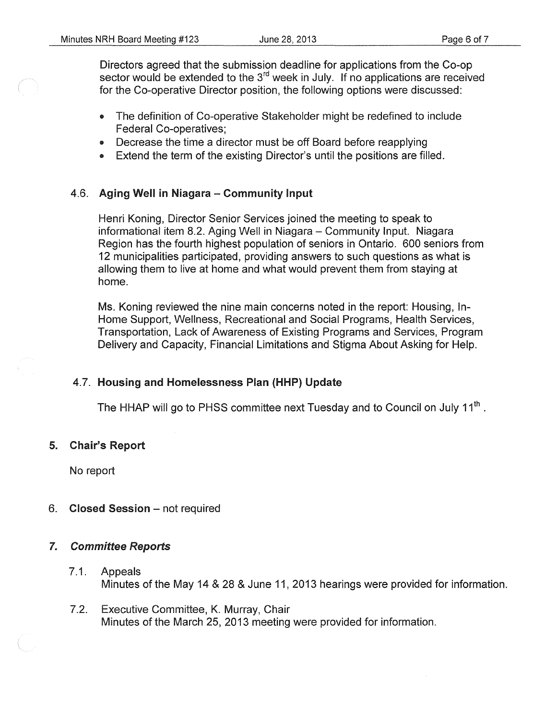Directors agreed that the submission deadline for applications from the Co-op sector would be extended to the 3<sup>rd</sup> week in July. If no applications are received for the Co-operative Director position, the following options were discussed:

- The definition of Co-operative Stakeholder might be redefined to include Federal Co-operatives;
- Decrease the time a director must be off Board before reapplying
- Extend the term of the existing Director's until the positions are filled.

## 4.6. Aging Well in Niagara - Community Input

Henri Koning, Director Senior Services joined the meeting to speak to informational item 8.2. Aging Well in Niagara- Community Input. Niagara Region has the fourth highest population of seniors in Ontario. 600 seniors from 12 municipalities participated, providing answers to such questions as what is allowing them to live at home and what would prevent them from staying at home.

Ms. Koning reviewed the nine main concerns noted in the report: Housing, In-Home Support, Wellness, Recreational and Social Programs, Health Services, Transportation, Lack of Awareness of Existing Programs and Services, Program Delivery and Capacity, Financial Limitations and Stigma About Asking for Help.

## 4.7. Housing and Homelessness Plan (HHP) Update

The HHAP will go to PHSS committee next Tuesday and to Council on July  $11<sup>th</sup>$ .

## 5. Chair's Report

No report

6. Closed Session - not required

#### 7. Committee Reports

- 7.1. Appeals Minutes of the May 14 & 28 & June 11, 2013 hearings were provided for information.
- 7.2. Executive Committee, K. Murray, Chair Minutes of the March 25, 2013 meeting were provided for information.